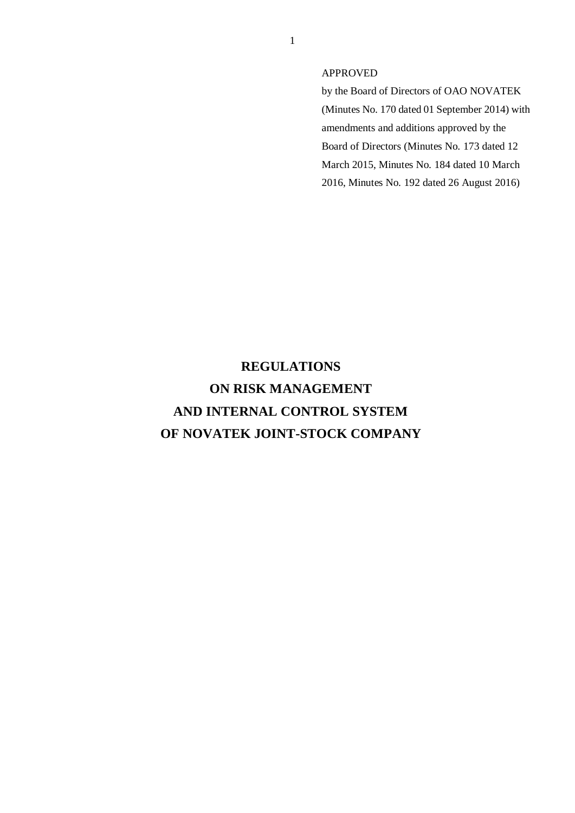### APPROVED

by the Board of Directors of OAO NOVATEK (Minutes No. 170 dated 01 September 2014) with amendments and additions approved by the Board of Directors (Minutes No. 173 dated 12 March 2015, Minutes No. 184 dated 10 March 2016, Minutes No. 192 dated 26 August 2016)

# **REGULATIONS ON RISK MANAGEMENT AND INTERNAL CONTROL SYSTEM OF NOVATEK JOINT-STOCK COMPANY**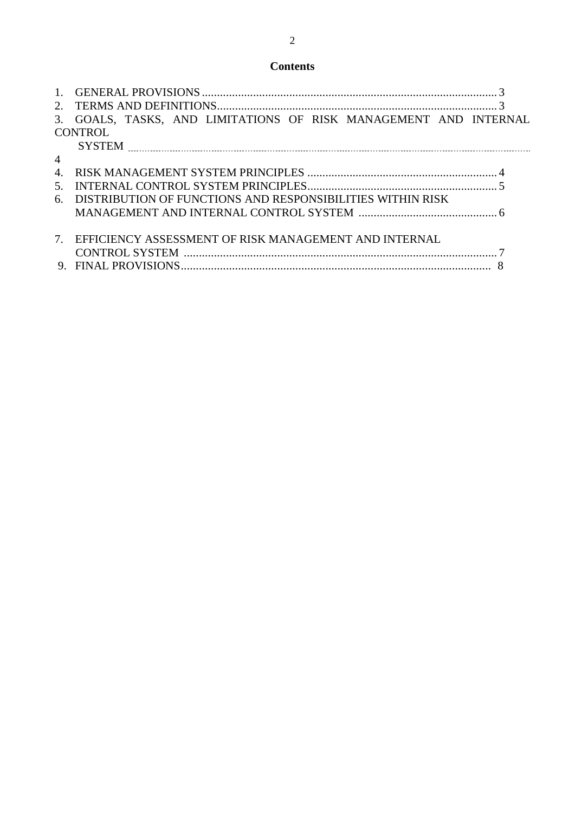# **Contents**

| $2^{\circ}$    |                                                               |  |
|----------------|---------------------------------------------------------------|--|
| 3.             | GOALS, TASKS, AND LIMITATIONS OF RISK MANAGEMENT AND INTERNAL |  |
|                | <b>CONTROL</b>                                                |  |
|                | <b>SYSTEM</b>                                                 |  |
| $\overline{4}$ |                                                               |  |
| $\mathbf{4}$   |                                                               |  |
| .5             |                                                               |  |
| 6.             | DISTRIBUTION OF FUNCTIONS AND RESPONSIBILITIES WITHIN RISK    |  |
|                |                                                               |  |
|                |                                                               |  |
| $7\phantom{0}$ | EFFICIENCY ASSESSMENT OF RISK MANAGEMENT AND INTERNAL         |  |
|                |                                                               |  |
| 9.             |                                                               |  |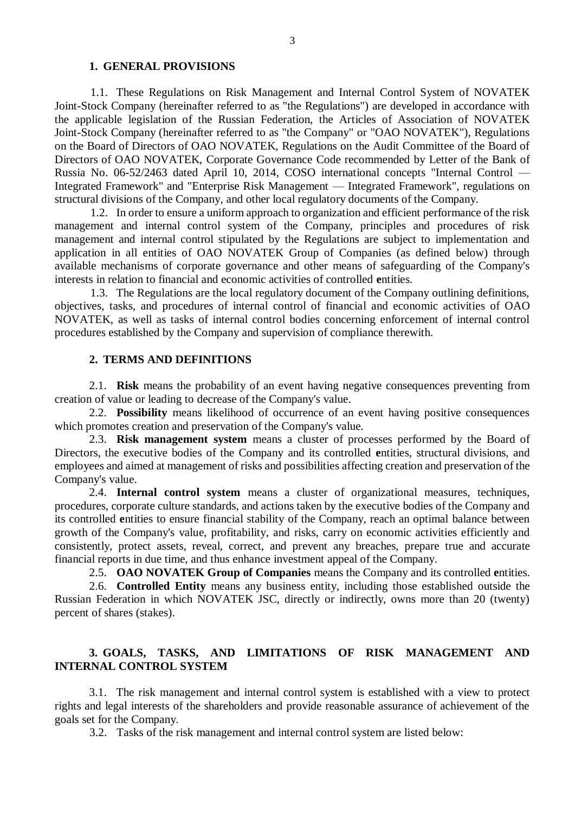#### **1. GENERAL PROVISIONS**

<span id="page-2-0"></span>1.1. These Regulations on Risk Management and Internal Control System of NOVATEK Joint-Stock Company (hereinafter referred to as "the Regulations") are developed in accordance with the applicable legislation of the Russian Federation, the Articles of Association of NOVATEK Joint-Stock Company (hereinafter referred to as "the Company" or "OAO NOVATEK"), Regulations on the Board of Directors of OAO NOVATEK, Regulations on the Audit Committee of the Board of Directors of OAO NOVATEK, Corporate Governance Code recommended by Letter of the Bank of Russia No. 06-52/2463 dated April 10, 2014, COSO international concepts "Internal Control — Integrated Framework" and "Enterprise Risk Management — Integrated Framework", regulations on structural divisions of the Company, and other local regulatory documents of the Company.

1.2. In order to ensure a uniform approach to organization and efficient performance of the risk management and internal control system of the Company, principles and procedures of risk management and internal control stipulated by the Regulations are subject to implementation and application in all entities of OAO NOVATEK Group of Companies (as defined below) through available mechanisms of corporate governance and other means of safeguarding of the Company's interests in relation to financial and economic activities of controlled **e**ntities.

<span id="page-2-1"></span>1.3. The Regulations are the local regulatory document of the Company outlining definitions, objectives, tasks, and procedures of internal control of financial and economic activities of OAO NOVATEK, as well as tasks of internal control bodies concerning enforcement of internal control procedures established by the Company and supervision of compliance therewith.

### **2. TERMS AND DEFINITIONS**

2.1. **Risk** means the probability of an event having negative consequences preventing from creation of value or leading to decrease of the Company's value.

2.2. **Possibility** means likelihood of occurrence of an event having positive consequences which promotes creation and preservation of the Company's value.

2.3. **Risk management system** means a cluster of processes performed by the Board of Directors, the executive bodies of the Company and its controlled **e**ntities, structural divisions, and employees and aimed at management of risks and possibilities affecting creation and preservation of the Company's value.

2.4. **Internal control system** means a cluster of organizational measures, techniques, procedures, corporate culture standards, and actions taken by the executive bodies of the Company and its controlled **e**ntities to ensure financial stability of the Company, reach an optimal balance between growth of the Company's value, profitability, and risks, carry on economic activities efficiently and consistently, protect assets, reveal, correct, and prevent any breaches, prepare true and accurate financial reports in due time, and thus enhance investment appeal of the Company.

2.5. **OAO NOVATEK Group of Companies** means the Company and its controlled **e**ntities.

2.6. **Controlled Entity** means any business entity, including those established outside the Russian Federation in which NOVATEK JSC, directly or indirectly, owns more than 20 (twenty) percent of shares (stakes).

# <span id="page-2-2"></span>**3. GOALS, TASKS, AND LIMITATIONS OF RISK MANAGEMENT AND INTERNAL CONTROL SYSTEM**

3.1. The risk management and internal control system is established with a view to protect rights and legal interests of the shareholders and provide reasonable assurance of achievement of the goals set for the Company.

3.2. Tasks of the risk management and internal control system are listed below: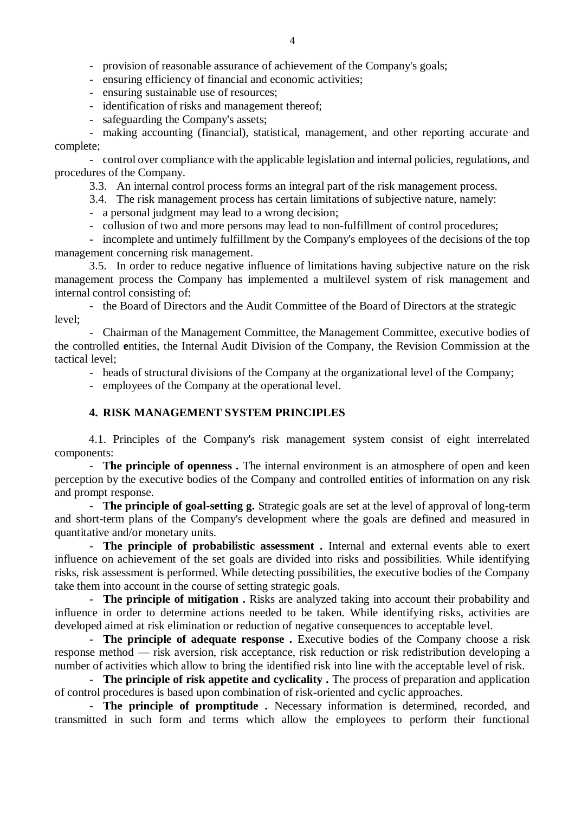- provision of reasonable assurance of achievement of the Company's goals;

- ensuring efficiency of financial and economic activities;
- ensuring sustainable use of resources;
- identification of risks and management thereof;
- safeguarding the Company's assets;

- making accounting (financial), statistical, management, and other reporting accurate and complete;

- control over compliance with the applicable legislation and internal policies, regulations, and procedures of the Company.

3.3. An internal control process forms an integral part of the risk management process.

- 3.4. The risk management process has certain limitations of subjective nature, namely:
- a personal judgment may lead to a wrong decision;
- collusion of two and more persons may lead to non-fulfillment of control procedures;

- incomplete and untimely fulfillment by the Company's employees of the decisions of the top management concerning risk management.

3.5. In order to reduce negative influence of limitations having subjective nature on the risk management process the Company has implemented a multilevel system of risk management and internal control consisting of:

- the Board of Directors and the Audit Committee of the Board of Directors at the strategic level;

<span id="page-3-0"></span>- Chairman of the Management Committee, the Management Committee, executive bodies of the controlled **e**ntities, the Internal Audit Division of the Company, the Revision Commission at the tactical level;

- heads of structural divisions of the Company at the organizational level of the Company;

- employees of the Company at the operational level.

#### **4. RISK MANAGEMENT SYSTEM PRINCIPLES**

4.1. Principles of the Company's risk management system consist of eight interrelated components:

- **The principle of openness .** The internal environment is an atmosphere of open and keen perception by the executive bodies of the Company and controlled **e**ntities of information on any risk and prompt response.

- **The principle of goal-setting g.** Strategic goals are set at the level of approval of long-term and short-term plans of the Company's development where the goals are defined and measured in quantitative and/or monetary units.

- **The principle of probabilistic assessment .** Internal and external events able to exert influence on achievement of the set goals are divided into risks and possibilities. While identifying risks, risk assessment is performed. While detecting possibilities, the executive bodies of the Company take them into account in the course of setting strategic goals.

- **The principle of mitigation .** Risks are analyzed taking into account their probability and influence in order to determine actions needed to be taken. While identifying risks, activities are developed aimed at risk elimination or reduction of negative consequences to acceptable level.

- **The principle of adequate response .** Executive bodies of the Company choose a risk response method — risk aversion, risk acceptance, risk reduction or risk redistribution developing a number of activities which allow to bring the identified risk into line with the acceptable level of risk.

- **The principle of risk appetite and cyclicality.** The process of preparation and application of control procedures is based upon combination of risk-oriented and cyclic approaches.

- **The principle of promptitude .** Necessary information is determined, recorded, and transmitted in such form and terms which allow the employees to perform their functional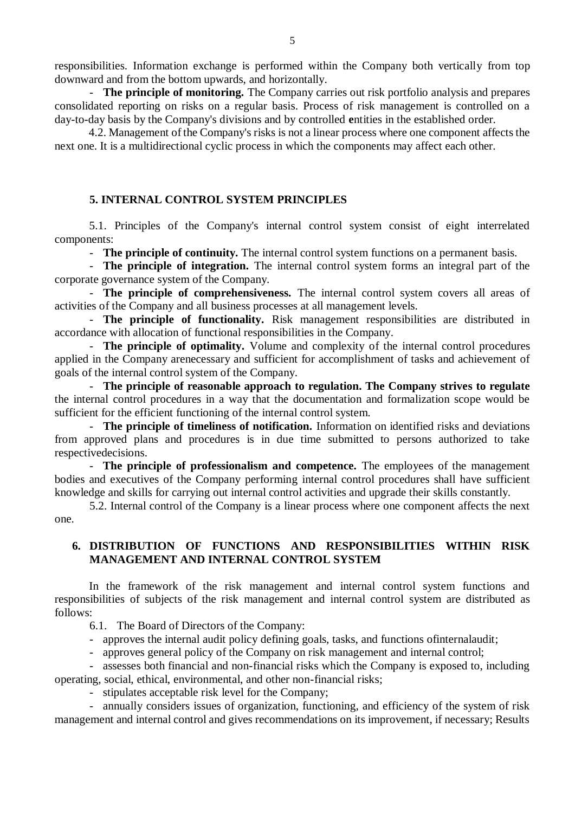responsibilities. Information exchange is performed within the Company both vertically from top downward and from the bottom upwards, and horizontally.

- **The principle of monitoring.** The Company carries out risk portfolio analysis and prepares consolidated reporting on risks on a regular basis. Process of risk management is controlled on a day-to-day basis by the Company's divisions and by controlled **e**ntities in the established order.

<span id="page-4-0"></span>4.2. Management of the Company's risks is not a linear process where one component affects the next one. It is a multidirectional cyclic process in which the components may affect each other.

#### **5. INTERNAL CONTROL SYSTEM PRINCIPLES**

5.1. Principles of the Company's internal control system consist of eight interrelated components:

- **The principle of continuity.** The internal control system functions on a permanent basis.

- **The principle of integration.** The internal control system forms an integral part of the corporate governance system of the Company.

- **The principle of comprehensiveness.** The internal control system covers all areas of activities of the Company and all business processes at all management levels.

- **The principle of functionality.** Risk management responsibilities are distributed in accordance with allocation of functional responsibilities in the Company.

- **The principle of optimality.** Volume and complexity of the internal control procedures applied in the Company arenecessary and sufficient for accomplishment of tasks and achievement of goals of the internal control system of the Company.

- **The principle of reasonable approach to regulation. The Company strives to regulate**  the internal control procedures in a way that the documentation and formalization scope would be sufficient for the efficient functioning of the internal control system.

- **The principle of timeliness of notification.** Information on identified risks and deviations from approved plans and procedures is in due time submitted to persons authorized to take respectivedecisions.

- **The principle of professionalism and competence.** The employees of the management bodies and executives of the Company performing internal control procedures shall have sufficient knowledge and skills for carrying out internal control activities and upgrade their skills constantly.

<span id="page-4-1"></span>5.2. Internal control of the Company is a linear process where one component affects the next one.

### **6. DISTRIBUTION OF FUNCTIONS AND RESPONSIBILITIES WITHIN RISK MANAGEMENT AND INTERNAL CONTROL SYSTEM**

In the framework of the risk management and internal control system functions and responsibilities of subjects of the risk management and internal control system are distributed as follows:

6.1. The Board of Directors of the Company:

- approves the internal audit policy defining goals, tasks, and functions ofinternalaudit;

- approves general policy of the Company on risk management and internal control;

- assesses both financial and non-financial risks which the Company is exposed to, including operating, social, ethical, environmental, and other non-financial risks;

- stipulates acceptable risk level for the Company;

- annually considers issues of organization, functioning, and efficiency of the system of risk management and internal control and gives recommendations on its improvement, if necessary; Results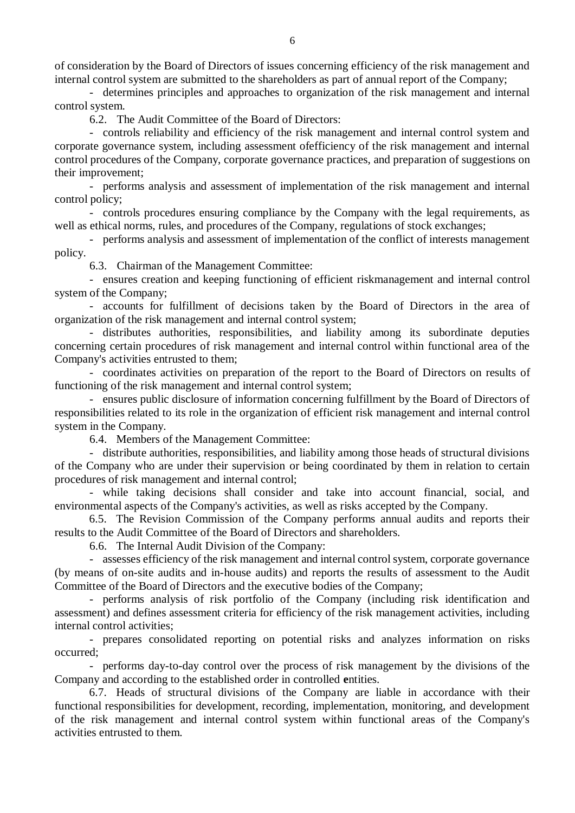of consideration by the Board of Directors of issues concerning efficiency of the risk management and internal control system are submitted to the shareholders as part of annual report of the Company;

- determines principles and approaches to organization of the risk management and internal control system.

6.2. The Audit Committee of the Board of Directors:

- controls reliability and efficiency of the risk management and internal control system and corporate governance system, including assessment ofefficiency of the risk management and internal control procedures of the Company, corporate governance practices, and preparation of suggestions on their improvement;

- performs analysis and assessment of implementation of the risk management and internal control policy;

- controls procedures ensuring compliance by the Company with the legal requirements, as well as ethical norms, rules, and procedures of the Company, regulations of stock exchanges;

- performs analysis and assessment of implementation of the conflict of interests management policy.

6.3. Chairman of the Management Committee:

- ensures creation and keeping functioning of efficient riskmanagement and internal control system of the Company;

- accounts for fulfillment of decisions taken by the Board of Directors in the area of organization of the risk management and internal control system;

- distributes authorities, responsibilities, and liability among its subordinate deputies concerning certain procedures of risk management and internal control within functional area of the Company's activities entrusted to them;

- coordinates activities on preparation of the report to the Board of Directors on results of functioning of the risk management and internal control system;

- ensures public disclosure of information concerning fulfillment by the Board of Directors of responsibilities related to its role in the organization of efficient risk management and internal control system in the Company.

6.4. Members of the Management Committee:

- distribute authorities, responsibilities, and liability among those heads of structural divisions of the Company who are under their supervision or being coordinated by them in relation to certain procedures of risk management and internal control;

- while taking decisions shall consider and take into account financial, social, and environmental aspects of the Company's activities, as well as risks accepted by the Company.

6.5. The Revision Commission of the Company performs annual audits and reports their results to the Audit Committee of the Board of Directors and shareholders.

6.6. The Internal Audit Division of the Company:

- assesses efficiency of the risk management and internal control system, corporate governance (by means of on-site audits and in-house audits) and reports the results of assessment to the Audit Committee of the Board of Directors and the executive bodies of the Company;

- performs analysis of risk portfolio of the Company (including risk identification and assessment) and defines assessment criteria for efficiency of the risk management activities, including internal control activities;

- prepares consolidated reporting on potential risks and analyzes information on risks occurred;

- performs day-to-day control over the process of risk management by the divisions of the Company and according to the established order in controlled **e**ntities.

6.7. Heads of structural divisions of the Company are liable in accordance with their functional responsibilities for development, recording, implementation, monitoring, and development of the risk management and internal control system within functional areas of the Company's activities entrusted to them.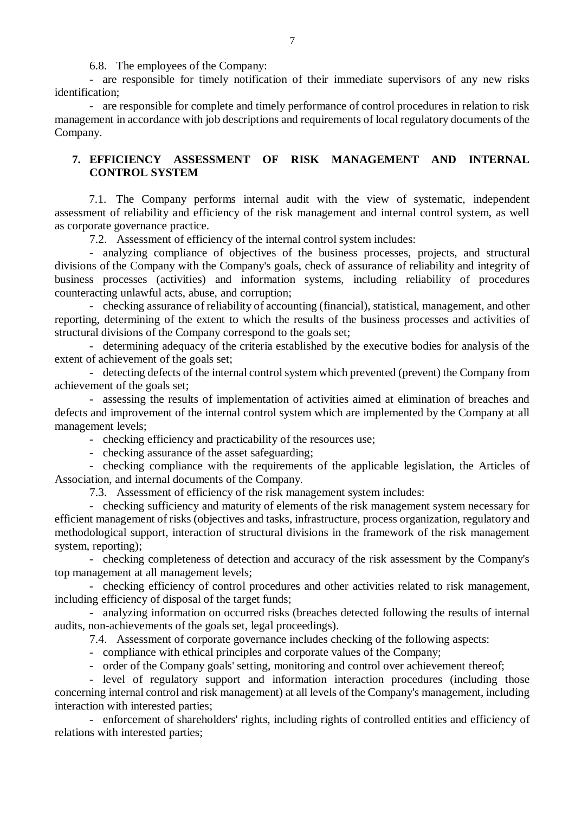6.8. The employees of the Company:

- are responsible for timely notification of their immediate supervisors of any new risks identification;

<span id="page-6-0"></span>- are responsible for complete and timely performance of control procedures in relation to risk management in accordance with job descriptions and requirements of local regulatory documents of the Company.

# **7. EFFICIENCY ASSESSMENT OF RISK MANAGEMENT AND INTERNAL CONTROL SYSTEM**

7.1. The Company performs internal audit with the view of systematic, independent assessment of reliability and efficiency of the risk management and internal control system, as well as corporate governance practice.

7.2. Assessment of efficiency of the internal control system includes:

- analyzing compliance of objectives of the business processes, projects, and structural divisions of the Company with the Company's goals, check of assurance of reliability and integrity of business processes (activities) and information systems, including reliability of procedures counteracting unlawful acts, abuse, and corruption;

- checking assurance of reliability of accounting (financial), statistical, management, and other reporting, determining of the extent to which the results of the business processes and activities of structural divisions of the Company correspond to the goals set;

- determining adequacy of the criteria established by the executive bodies for analysis of the extent of achievement of the goals set;

- detecting defects of the internal control system which prevented (prevent) the Company from achievement of the goals set;

- assessing the results of implementation of activities aimed at elimination of breaches and defects and improvement of the internal control system which are implemented by the Company at all management levels;

- checking efficiency and practicability of the resources use;

- checking assurance of the asset safeguarding;

- checking compliance with the requirements of the applicable legislation, the Articles of Association, and internal documents of the Company.

7.3. Assessment of efficiency of the risk management system includes:

- checking sufficiency and maturity of elements of the risk management system necessary for efficient management of risks (objectives and tasks, infrastructure, process organization, regulatory and methodological support, interaction of structural divisions in the framework of the risk management system, reporting);

- checking completeness of detection and accuracy of the risk assessment by the Company's top management at all management levels;

- checking efficiency of control procedures and other activities related to risk management, including efficiency of disposal of the target funds;

- analyzing information on occurred risks (breaches detected following the results of internal audits, non-achievements of the goals set, legal proceedings).

7.4. Assessment of corporate governance includes checking of the following aspects:

- compliance with ethical principles and corporate values of the Company;

- order of the Company goals' setting, monitoring and control over achievement thereof;

- level of regulatory support and information interaction procedures (including those concerning internal control and risk management) at all levels of the Company's management, including interaction with interested parties;

- enforcement of shareholders' rights, including rights of controlled entities and efficiency of relations with interested parties;